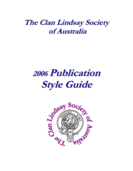# **The Clan Lindsay Society of Australia**

# **2006 Publication Style Guide**

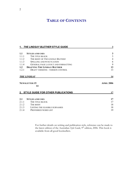# **TABLE OF CONTENTS**

|       | 1. THE LINDSAY BLETHER STYLE GUIDE    | $\mathbf{3}$      |  |
|-------|---------------------------------------|-------------------|--|
|       |                                       |                   |  |
| 1.1   | <b>STYLES AND USES</b>                | $\mathbf{3}$      |  |
| 1.1.1 | THE TITLE BLOCK                       | $\overline{3}$    |  |
| 1.1.2 | THE BODY OF THE LINDSAY BLETHER       | $\overline{4}$    |  |
| 1.1.3 | <b>SPELLING AND PUNCTUATION</b>       | 6                 |  |
| 1.1.4 | GENERAL PAGE LAYOUT AND FORMATTING    | 9                 |  |
| 1.2   | <b>DRAFTING THE LINDSAY BLETHER</b>   | 13                |  |
| 1.2.1 | DRAFT VERSIONS - VERSION CONTROL      | 13                |  |
|       | <b>THE LINDSAY</b>                    | 14                |  |
|       |                                       |                   |  |
|       | <b>NEWSLETTER 15</b>                  | <b>APRIL 2006</b> |  |
|       | 14                                    |                   |  |
|       | 2. STYLE GUIDE FOR OTHER PUBLICATIONS | 17                |  |
| 2.1   | <b>STYLES AND USES</b>                | 17                |  |
| 2.1.1 | THE TITLE BLOCK                       | 17                |  |
| 2.1.2 | THE BODY                              | 18                |  |
| 2.1.3 | LISTING THE ELIGIBLE SURNAMES         | 18                |  |

For further details on writing and publication style, reference can be made to the latest edition of the Australian *Style Guide*, 9<sup>th</sup> edition, 2006. This book is available from all good booksellers.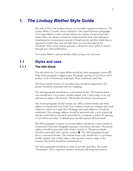# <span id="page-2-0"></span>**1.** *The Lindsay Blether* **Style Guide**

The title of The Clan Lindsay Society of Australia's regular newsletter is *'The Lindsay Blether'* (3 words, always italicised)*.* One return between paragraphs. *The Lindsay Blether's* colour scheme reflects the colours found in the Clan's tartan. Thus, the themes of maroon (represented by dark red), dark green (represented by normal green instead of bright green) and blue (dark blue as opposed to bright blue, teal and light blue) are used throughout the newsletter. This colour scheme presents a distinctive style, which is carried through into other publications.

*The Lindsay Blether* is printed double-sided, saving costs and trees.

## <span id="page-2-1"></span>**1.1 Styles and uses**

## <span id="page-2-2"></span>**1.1.1 The title block**

The title block for *The Lindsay Blether* should be three paragraphs (entered ¶) long. Each paragraph is aligned right. Paragraph spacing is 0 pt before and 0 pt after. Font is Garamond, bold italic, 48 pt, shadowed, dark blue.

The Clan Lindsay Society of Australia's logo should be aligned left. The picture should be formatted with no wrapping.

The third paragraph should have a customised border. The bottom frame only should have a 6 pt frame, double striped, with a thick stripe at the top and narrow stripe at the bottom. The border should be coloured green.

The fourth paragraph should contain our ABN, website details and email address in Garamond 10 pt bold. Text is black, except for webpage and email addresses, which are bright blue. Webpage and email addresses should be underlined. The webpage address should be preceded with a web symbol,  $\circledast$ and the email address should be preceded by a computer symbol,  $\Box$ . Spacing is 0 pt before and after. A tabbed space should separate all three items.

The fifth paragraph contains our postal address and phone contact details in Garamond 10 pt bold. Paragraph spacing is 0 pt before and after. The postal address should be preceded with a letter symbol,  $\equiv$ . The phone details should be preceded with a phone symbol,  $\mathbf{\mathcal{F}}$ . The fifth paragraph should have a customised border. The bottom frame only should have a 6 pt frame, double striped, with a thick stripe at the top and a narrow stripe at the bottom. The border should be coloured green.

The sixth paragraph should be in Arial 12 pt bold, dark blue. The word "Newsletter" with a sequence number (numeric) following that word is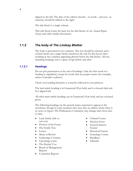aligned to the left. The date of the edition (month – in words - and year - in numeric) should be tabbed to the right.

The title block is a single column.

This title block forms the basis for the title blocks of our *Annual Report*, *Surveys* and other similar documents.

## <span id="page-3-0"></span>**1.1.2 The body of** *The Lindsay Blether*

The body is presented in two columns. The text should be selected, and a column break (not a page break) inserted as the rule for this layout (thus resulting in two columns appearing directly below the title block). All text, including headings, have a space of 6pt before and after.

### **1.1.2.1 Headings**

Do not put punctuation at the end of headings. Only the first word of a heading is capitalised, except for words that are proper nouns (for example, names of people or places).

Check your heading hierarchy is correctly reflected in your printout.

The lead article heading is in Garamond 28 pt bold, and is coloured dark red. It is aligned left.

All other main article headings are in Garamond 18 pt bold, and are coloured green.

The following headings are the general topics expected to appear in the newsletter, though in some instances they may miss an edition where there is no news or report. The Publications Committee may change titles from time to time.

- Lead Article (title to suit text)
- Flowers of the Forest
- The Family Tree
- Letters
- Music in Review
- Gatherings n' Games
- Upcoming events
- The Heelun' Coo
- Board of Management Reports
- Committee Reports
- Cultural Corner
- Election News
- General Interest Feature
- Historical Feature
- Genealogy Corner
- Deadlines
- **Editorial**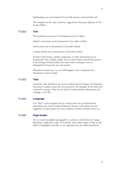Subheadings are in Garamond 12 pt bold, and are coloured dark red.

The template in this *Style Guide* has suggestions from past editions of *The Lindsay Blether.*

### **1.1.2.2 Text**

The standard font for text is Garamond 12 pt, in black.

Editor's comments are in Garamond 12 pt, italic in black.

Action items are in Garamond 12 pt bold in black.

Contact details are in Garamond 12 pt bold in black.

Extracts from letters, articles, magazines or other documents are in Garamond 11pt, in black. Italics may be used where a second document is also being extracted within the same article, making it easy to distinguish between the two documents.

Historical extracts may use an 'Old English' font to represent the documents ancient origins.

### **1.1.2.3 Tabs**

Generally, tabs should not be used to indent the left margin. If absolutely necessary to indent, select the text and move the triangles in the ruler that control the margin. Tabs can be used to format tabular information, for example, a fees list.

### **1.1.2.4 Language**

Use "they" in the singular (for he or she); there are good historical precedents (see *Shorter Oxford Dictionary*). Ensure your articles are not suggestive of stereotypes for sexes, regions, country of birth, and so on.

### **1.1.2.5 Page breaks**

Try to avoid incomplete paragraphs or a colon at the bottom of a page. Breaking a bullet list is okay. If in doubt, more white space is okay as this adds to readability (and this is very important for our older members!).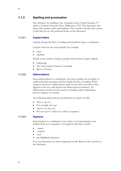## <span id="page-5-0"></span>**1.1.3 Spelling and punctuation**

The reference for spelling is the *Australian Concise Oxford Dictionary*, 2nd edition, Oxford University Press, Melbourne, 1992. This dictionary also helps with capitals, italics and hyphens. The word list should only contain words that are not the preferred forms in this dictionary.

## **1.1.3.1 Capital letters**

Capitals disrupt the flow of reading and should be kept to a minimum.

Generic terms do not need capitals, for example:

- clans
- clanfolk

Proper nouns (names of places, people and societies) require capitals.

- Edinburgh
- The Clan Lindsay Society of Australia
- Byres of Tonley

### **1.1.3.2 Abbreviations**

Keep abbreviations to a minimum. Our newer readers are not likely to understand their meaning, and they break the flow of reading. When using an acronym or abbreviation, spell out the full word when it first appears in the text, and enclose the abbreviation in brackets. An abbreviation should never be used in a heading (unless indicating a person's degrees or awards).

The following abbreviations should always be spelt out fully:

- That is (not ie.)
- For example (not eg.)
- And so on (not etc.)
- Per cent (not % unless in a table or equation)

## **1.1.3.3 Hyphens**

Keep hyphens to a minimum. Leave them out of prerequisites, but include them in co-requisites. Use hyphens with these words:

- -based
- -related
- non-
- pre-Highland clearances

Use your discretion for other compound words. Refer to the word list or the dictionary.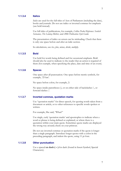### **1.1.3.4 Italics**

*Italics* are used for the full titles of Acts of Parliament (including the date), books and journals. Do not use italics or inverted commas for emphasis (use bold instead).

Use full titles of publications, for example, *Collins Pocket Reference: Scottish Surnames, The Lindsay Blether,* and *2006 Publication Style Guide*.

The presentation of italics on screen can be misleading. Check that there is only one space before and after an italic section.

In calculations, use *less*, *plus*, *minus*, *divide*, *multiply*.

### **1.1.3.5 Bold**

Use bold for words being defined and for occasional emphasis. Bold should also be used to indicate to the reader that an action is required of them (for example, when specifying the place, date and time of an event).

### **1.1.3.6 Spaces**

One space after all punctuation. One space before metric symbols, for example, '25 km'.

No space before colon, for example, 2:

No space inside parentheses  $\alpha$ , or on either side of backslashes  $\alpha$ , or forward slashes /.

## **1.1.3.7 Inverted commas, quotation marks**

Use "quotation marks" for direct speech, for quoting words taken from a document or article, or to other references to specific words spoken or written.

For example, She said, "What?"

Use single, curly 'quotation marks' and apostrophes to indicate when a word or phrase is being defined or explained, or where there is a quotation within your main quote. Sometimes quote marks are displayed the wrong way around; check on your printout.

Do not use inverted commas or quotation marks if the quote is longer than a single paragraph. Introduce longer quotes with a colon in the preceding paragraph, and indent the quote, using 11 pt font.

#### **1.1.3.8 Other punctuation**

Use a spaced **en dash ( – )** for dash (found in Insert Symbol, Special Characters).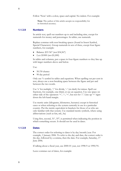Follow 'Note' with a colon, space and capital. No indent. For example:

**Note**: The author of this article accepts no responsibility for its historical accuracy.

### **1.1.3.9 Numbers**

In article text, spell out numbers up to and including nine, except for numerals for money and percentages. In tables, use numerals.

Replace commas with non-breaking spaces (found in Insert Symbol, Special Characters). Group numerals in sets of three, except four figure numbers, for example:

- Balance: \$33 567 (not \$34,567)
- *Less*: \$1000 (not \$1,000)

In tables and columns, put a space in four-figure numbers so they line up with larger numbers above and below.

Use:

- 50/50 chance
- 90 day period

Only use % symbol in tables and equations. When spelling out per cent in text, always use a non-breaking space between the figure and per and between the two words.

Use 'x' for multiply, '/' for divide, '-' (en dash) for minus. Spell out fractions, for example, one-third, or use an equation. Use one space on either side of the operators '+', '-', '=', but not for '/'. Line up '=' signs down the left-hand margin.

Use metric units (kilograms, kilometres, hectares) except in historical cases or when referring to the system currently in use in a particular country. Put the metric equivalent in brackets for those of us who are only familiar with that system. Use standard metric symbols, where using abbreviations (such as km, mL, ha)

Using first, second,  $31<sup>st</sup>$ ,  $35<sup>th</sup>$ , is permitted when indicating the position in which something occurs. It should not be used in dates.

## **1.1.3.9 Dates**

The correct order for referring to dates is by day/month/year. For example, 1 January 2006. To refer to the day and date, the correct order is the day, followed by a comma, then the date. For example, Saturday, 17 June 2006.

If talking about a fiscal year, use 2000-01 year, not 1998-9 or 1990/91.

Leave commas out of dates, for example: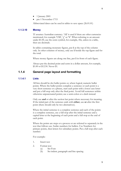- 1 January 2001
- pre-1 November 1715

Abbreviated dates can be used in tables to save space (26.01.01)

#### **1.1.3.10 Money**

'\$' assumes Australian currency. 'A\$' is used if there are other currencies mentioned, for example 'US\$', ' $f'$ , or '¥'. When referring to an amount under \$1.00, use the cents symbol, for example, 45¢, unless in a table, then use decimals.

In tables containing monetary figures, put \$ at the top of the column only. In other columns of money, only use \$ beside the top figure and for the total.

Where money figures are along one line, put \$ in front of each figure.

Always put the decimal point and cents in a dollar amount, for example, \$1.00 or \$12.50. Never \$1.

## <span id="page-8-0"></span>**1.1.4 General page layout and formatting**

## **1.1.4.1 Lists**

All lists should be dot bullet points or, where logical, numeric bullet points. Where the bullet points complete a sentence or each point is a very short sentence or a phrase, start each point with a lower case letter and put a full stop only after the final point. Avoid full sentences within otherwise unpunctuated points; use a semi-colon or a dash instead.

Only use **and** or after the section last point where necessary for meaning. If the initial part of the sentence ends with **either**, use **or** after the first point (there should only be two alternatives).

Where the initial sentence is a complete sentence and each of the points is a complete sentence, use a full stop after the initial sentence and a capital letter at the beginning of each point and a full stop at the end of each point.

Where the points are steps or a process or are referred to separately in the text that follows use Arabic numbers for bullets. Use Numbers for primary points, then letters for subsidiary points. Put a full stop after each number.

For example:

- 1. Insert text
- 2. Format text
	- (a) Set Font
	- (b) Set indent, paragraph and line spacing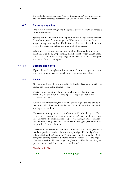If a list looks more like a table (that is, it has columns), put a full stop at the end of the sentence before the list. Punctuate the list like a table.

### **1.1.4.2 Paragraph spacing**

One return between paragraphs. Paragraphs should normally be spaced 6 pt before and after.

Spacing before and after dot bullet points should be 0 pt, where the text for each dot point fits on a single line. Where the text is more than a single line, 6 pt spacing should be before the first dot point and after the last, with 3 pt spacing before and after in all other places.

Where a list has sub points, 6 pt spacing should be used before the first point and after the last. 0 pt spacing should occur between a main point and all of its sub points. 6 pt spacing should occur after the last sub point and before the next main point.

## **1.1.4.3 Borders and boxes**

If possible, avoid using boxes. Boxes tend to disrupt the layout and cause auto-formatting to occur, especially when they cross a page break.

### **1.1.4.4 Tables**

Generally, tables would not be used in the Lindsay Blether, as it will cause formatting errors in the column set up.

Use tabs to develop the columns for a table, rather than the table function. This will mean that flowing across pages will not cause formatting problems.

Where tables are required, the table title should aligned to the left, be in Garamond 12 pt bold and be in dark red. It should have 6 pt paragraph spacing before and after.

The column headings should be in Garamond 12 pt bold in green. There should be no paragraph spacing before or after. There should be a single line (Customised border function) ½ pt lower frame, in dark red under the column headings. The tabs should be middle aligned, centering over the position for the column text.

The column text should be aligned left in the left hand column, centre or middle aligned for middle columns, and right aligned in the right hand column. It should be Garamond 11 pt in dark blue. It should have 6 pt paragraph spacing before and after to assist the reader across the page. The final row should have a single line (Customised border function)  $\frac{1}{2}$ pt lower frame, in dark red under the last line of text.

### **Membership List**

**Name** Membership type Cost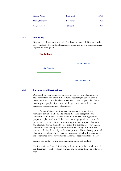| Lindsay Cobb  | Individual | \$20.00 |
|---------------|------------|---------|
| Morag Deuchar | Pensioner  | \$10.00 |
| Angus Affleck | Student    | \$10.00 |

## **1.1.4.3 Diagrams**

Diagram Heading text is in Arial, 12 pt bold, in dark red. Diagram Body test is in Arial 10 pt in dark blue. Lines, boxes and arrows in diagrams are in green or dark green.

### **Family Tree**



### **1.1.4.4 Pictures and illustrations**

Our members have expressed a desire for pictures and illustrations in their newsletters and other publications. Accordingly, editors should make an effort to include relevant pictures as often as possible. These may be photographs of persons and things connected with the clan, a particular story, diagrams or illustrations.

As *The Lindsay Blether* is photocopied and posted to most of our members, care should be had to ensure that the photographs and illustrations continue to be clear when photocopied. Photographs of people and places will usually be converted to 'greyscale', to ensure the picture quality survives the photocopying process. Complex illustrations and diagrams should similarly be converted to greyscale. However, some illustrations and some photographs are simple enough to reproduce without reducing the quality of the final product. These photographs and illustrations can be included in colour versions - which will also enhance the appearance of the newsletter to those who receive it electronically.

Pictures should have a line of explanation, unless self-evident.

Use images from PowerPoint if they will brighten up the overall look of the document – but keep them relevant and no more than one or two per page.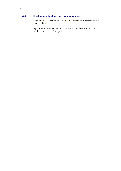## **1.1.4.5 Headers and footers, and page numbers**

There are no Headers or Footers in *The Lindsay Blether*, apart from the page numbers.

Page numbers are included on the bottom, outside corner. A page number is shown on front page.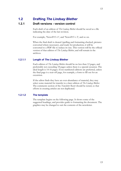## <span id="page-12-1"></span><span id="page-12-0"></span>**1.2 Drafting** *The Lindsay Blether*

## **1.2.1 Draft versions - version control**

Each draft of an edition of *The Lindsay Blether* should be saved as a file indicating the date of the last revision.

For example, 'News#15 v1', and 'News#15 v 2', and so on.

When the final draft is cleared (spelling and formatting checked, pictures converted where necessary), and ready for production, it will be converted to a PDF file to reduce its size. This version will be the official version of that edition of *The Lindsay Blether*, and will remain in the archives.

## **1.2.1.1 Length of** *The Lindsay Blether*

Each edition of *The Lindsay Blether* should be no less than 12 pages, and preferrably not exceeding 18 pages unless there is a special occasion. The ideal length is 14-16 pages. Even numbered editions are preferred, unless the final page is a tear-off page, for example, a form to fill out for an excursion.

If the editor finds they have an over-abundance of material, they may select some material for transfer to a later edition of *The Lindsay Blether*. The comments section of the *Newsletter Roster* should be noted, so that efforts in creating articles are not duplicated.

## **1.2.1.2 The template**

The template begins on the following page. It shows some of the suggested headings, and provides guide to formatting the document. The graphics may be changed to suit the contents of the newsletter.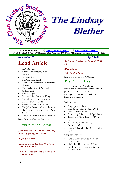

# <span id="page-13-0"></span>**The Lindsay Blether**

<span id="page-13-1"></span>**ABN 55 506 921 427 [www.clanlindsay.org.au](http://www.clanlindsay.org.au/) [info@clanlindsay.org.au](mailto:clanlindsay@clandlindsay.org.au)** | **PO Box 1068 CIVIC SQUARE ACT 2608, Australia 0414 253 724 or leave a message at (02) 6238-0290**

### *Newsletter 15* April 2006

# **Lead Article**

- We're Official
- A thousand welcome to our members
- Election time!
- The Crawford family
- The Clan Commander's Christmas Message
- The Declaration of Arbroath
- Affleck family
- Which badge?
- Scotland's last Royal wedding
- Annual General Meeting soon!
- The Lindsays of Crete
- A short history of the Byres
- The John Downie Memorial Grant
- Happy Christmas and a Merry New Year!
- The John Downie Memorial Grant

*Name of the person who submitted the article*

## **Flowers of the Forest**

### **John Downie - 1928 (Fife, Scotland) to 1997 (Sydney, Australia)**

**Nigel Wilkinson**

**George Francis Lindsay (15 March 1895 - June 2001)**

**William Lindsay (2 September 1877 - October 1918)**

**Sir Ronald Lindsay of Dowhill, 2nd Bt x2**

### **Alice Lindsay**

**Vale Denis Lindsay** *Name of the person who submitted the article*

# **The Family Tree**

This section of our Newsletter introduces new members of the Clan. If you know of any recent births or marriages, we would love to include them in this section!

### Welcome to:

- Angus John Dillon
- Leila Jayne Patch (24 June 2002)
- Brock Wesley Batey
- Sienna Lily Palamara (12 April 2005)
- Tobias and Oscar Lindsay (16 July 2004)
- Ailsa Mary Bader Lindsay (14 October 205)
- Kemp William Seville (28 December 2005)

Congratulations to:

- Jane O'Keefe (married member John Nunan)
- Nadia Lea Hickson and William Frank Seville on their marriage on 29 April 2006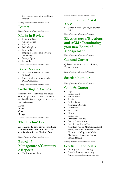Best wishes from all o' us, Shirley Lindsay

*Name of the person who submitted the article*

# **Letters**

*Name of the person who submitted the article*

# **Music in Review**

- Battlefield Band
- Wrigley Sisters
- Burach
- Dick Gaughan
- Fine Friday
- Singing in Gaellic (opportunity to join choir)
- Steeleye Span
- **Reynardine**

*Name of the person who submitted the article*

# **Book Reviews**

- No Great Mischief Alistair McLeod
- Cross Stitch and other novels Diana Gabaldon

*Name of the person who submitted the article*

# **Gatherings n' Games**

Reports on those attended and those coming up! Those that are coming up are listed before the reports on the ones we've attended.

**Date: Place: Cost: Bring:**

*Name of the person who submitted the article*

# **The Heelun' Coo**

**Does anybody have any second hand Lindsay tartan items for sale? You can list them in the Heelun' Coo.**

*Name of the person who submitted the article*

# **Board of Management/Committe e Reports**

• The insurance blues…

*Name of the person who submitted the article*

# **Report on the Postal AGM**

Which motions got up, and which didn't…

*Name of the person who submitted the article*

# **Election news/Elections and AGM/ Introducing your new Board of Management**

*Name of the person who submitted the article*

# **Cultural Corner**

Quizzes, poems and so on - Lindsay Tartan contest.

*Name of the person who submitted the article*

# **Scottish humour**

*Name of the person who submitted the article*

## **Cooke's Corner**

- Baps
- Scotch Broth
- Athole Brose
- Stovies
- Cullen Skink
- Abernethy Biscuits
- Colcannon
- Pot haggis
- Neaps
- Scotch pies
- Ormidale Steak Pie
- Cock-a-Leekie soup
- Ecclefechan Butter Tart
- Aberdeen Angus, MacAlpine, Atholl Brose, Het Pint, Christmas Cheer, Christmas Toddy, Scotch Mist, MacLaran, Clansman's Coffee
- Finnan Haddie

*Name of the person who submitted the article*

## **Scottish Handicrafts**

- Lindsay tartan crochet rug
- Crawford tartan crochet rug
- Angus District tartan crochet rug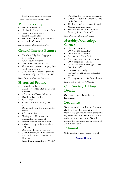• Black Watch tartan crochet rug

*Name of the person who submitted the article*

## **Member's story**

- David Lindsay of WA
- Noel & Shirley meet Alex and Bette
- Susan's trip back hame
- Susan's granny tales
- Happy 111<sup>th</sup> Birthday Alice Lindsay!
- Alexander Crawford

*Name of the person who submitted the article*

# **General Interest Feature**

- The Great Highland Bagpipe a Clan tradition
- What should ye wear?
- Traditional wedding outfits
- Women with passion can apply here
- Southland no-more
- The Domestic Annals of Scotland the Reign of James IV, 1578-1585

*Name of the person who submitted the article*

# **Historical Feature**

- The early Lindsays
- The first recorded Clan member in Australia
- A Snapshot of Scottish history
- David Lindsay, explorer!
- 1776 Almanac
- World War I, the Lindsay Clan at war
- Demography and the movement of people
- $16<sup>th</sup>$  Century life
- Making news 105 years ago
- The Lindsays of Creswick
- Lindsay women of Port Albert
- A short history of the Australian Afflecks
- Odd spots (history of the clan)
- The Crawfords, the Villa Palmieri and the Protestant Cemetery in Florence
- James Bowmen Lindsay 1799-1864
- David Lindsay, Explore, post-script
- Historical Scotland Downies, heirs of the Stewarts
- The history of the Lanarkshire and Northern Irish Downies
- State records of NSW, Colonial Secretary Index 1788-1825

*Name of the person who submitted the article*

## **Heraldry/Genealogy Corner**

- Clan Lindsay VCs
- DNA testing of Lindsays
- DNA and the Lindsays
- International DNA Project
- A message from the international DNA project coordinator
- Births, deaths and marriages ... clan firsts for NSW
- Crests & Crest-badges
- Heraldry lecture by Mrs Elizabeth Roads
- Heraldry lecture by Sir Conrad Swan

*Name of the person who submitted the article*

# **Clan Society Address Details**

**Our contact details are in the letterhead.**

# **Deadlines**

We welcome all contributions from our clanfolk. If you have something of interest that you would like to share with us, please send it to 'The Editor', at the addresses in the letterhead. We will include it in the next available edition of *The Lindsay Blether*.

# **Editorial**

Until next time, keep yourselves well!

## *Teresa Bostle*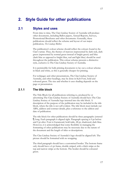# <span id="page-16-1"></span><span id="page-16-0"></span>**2. Style Guide for other publications**

## **2.1 Styles and uses**

From time to time, The Clan Lindsay Society of Australia will produce other documents, including Ballot papers, Annual Reports, Surveys, Promotional Brochures and other documents. Generally, these publications should reflect the scheme and layout of our major publication, *The Lindsay Blether*.

The publication's colour scheme should reflect the colours found in the Clan's tartan. Thus, the themes of maroon (represented by dark red), dark green (represented by normal green instead of bright green) and blue (dark blue as opposed to bright blue, teal and light blue) should be used throughout the publication. This colour scheme presents a distinctive style, exclusive to The Clan Lindsay Society of Australia.

It is permissible for bulk printing documents to lay out a colour scheme in black and white, as this is generally cheaper for printing.

For webpages and other presentations, The Clan Lindsay Society of Australia, and other headings, may be done in Kelt Font, bold and coloured green. The size and whether it uses shading depends on the page or presentation.

## <span id="page-16-2"></span>**2.1.1 The title block**

The Title Block for all publications referring to, produced by or advertising The Clan Lindsay Society of Australia should have The Clan Lindsay Society of Australia logo inserted into the title block. A description of the purpose of the publication may be included in the title block, where the title is not self-evident. The title block must include our ABN, address and contract details, plus a reference to the edition and date of publication.

The title block for other publications should be three paragraphs (entered ¶) long. Each paragraph is aligned right. Paragraph spacing is 0 pt before and 0 pt after. Font is Garamond, bold italic, 48 pt, shadowed, dark blue. However, it is acknowledged that some flexibility in managing the formatting of other publications may be necessary due to the nature of the document and the length of titles or descriptions.

The Clan Lindsay Society of Australia's logo should be aligned left. The picture should be formatted with no wrapping.

The third paragraph should have a customised border. The bottom frame only should have a 6 pt frame, double striped, with a thick stripe at the top and narrow stripe at the bottom. The border should be coloured green.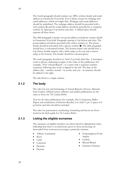18

The fourth paragraph should contain our ABN, website details and email address in Garamond 10 pt bold. Text is black, except for webpage and email addresses, which are bright blue. Webpage and email addresses should be underlined. The webpage address should be preceded with a web symbol,  $\hat{\otimes}$  and the email address should be preceded by a computer symbol,  $\Box$ . Spacing is 0 pt before and after. A tabbed space should separate all three items.

The fifth paragraph contains our postal address and phone contact details in Garamond 10 pt bold. Paragraph spacing is 0 pt before and after. The postal address should be preceded with a letter symbol,  $\equiv$ . The phone details should be preceded with a phone symbol,  $\mathbf{\mathcal{F}}$ . The fifth paragraph should have a customised border. The bottom frame only should have a 6 pt frame, double striped, with a thick stripe at the top and a narrow stripe at the bottom. The border should be coloured green.

The sixth paragraph should be in Arial 12 pt bold, dark blue. A descriptor word or phrase, indicating its place in the order of the publication (for example, "First Annual Report", or a name with a sequence number (numeric) following that word, is aligned to the left. The date of the edition (day - number, month – in words, and year - in numeric) should be tabbed to the right.

The title block is a single column.

## <span id="page-17-0"></span>**2.1.2 The body**

The rules for text and formatting of Annual Reports, Surveys, Manuals, Style Guides, Official Letters, Minutes and similar publications are the same as those for *The Lindsay Blether*.

Text for all other publications (for example, The Constitution, Ballot Papers and notification of Election Results) is in Arial 11 pt. A space of 6 pt before and after should be included.

The rules for punctuation, numbering, formatting and layout are those found in the Style guide for *The Lindsay Blether*.

## <span id="page-17-1"></span>**2.1.3 Listing the eligible surnames**

The surnames of eligible members are always listed in alphabetical order, indicating that there is no preference given to those possessing (or descended from someone possessing) a particular surname.

- Affleck/Auchinleck
- **Byers**
- Cobb
- Crawford
- Deuchar
- Downie
- Fotheringham/Fothe ringhay
- Lindsay
- Rhynd/Rhind
- Summers/Sumner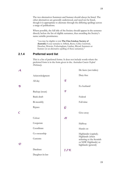The two alternatives Summers and Sumner should always be listed. The other alternatives are generally understood, and need not be listed, though it is appropriate to alternate through the differing spellings across a range of publications.

Where possible, the full title of the Society should appear in the sentence directly before the list of eligible surnames, thus awarding the Society's name suitable prominence.

"you may be eligible to join **The Clan Lindsay Society of Australia** if your surname is Affleck, Byers, Cobb, Crawford, Deuchar, Downie, Fotheringham, Lindsay, Rhynd, Summers or Sumner (or an alternative spelling of these surnames)."

## <span id="page-18-0"></span>**2.1.4 Preferred word list**

This is a list of preferred forms. It does not include words where the preferred form is in the form given in the *Australian Concise Oxford Dictionary*.

|                    |                 |                            | De facto (not italics)                                                                      |
|--------------------|-----------------|----------------------------|---------------------------------------------------------------------------------------------|
|                    | Acknowledgment  |                            | Duty-free                                                                                   |
|                    | All day         | E                          |                                                                                             |
| $\mathcal{B}$      |                 |                            | Ex-husband                                                                                  |
|                    | Backup (noun)   | F                          |                                                                                             |
|                    | Bank-draft      |                            | Federal                                                                                     |
|                    | Bi-monthly      |                            | Full-time                                                                                   |
|                    | <b>Bypass</b>   | $\cal G$                   |                                                                                             |
| Ċ                  |                 |                            | Give-away                                                                                   |
|                    | Colour          | $\boldsymbol{\mathcal{H}}$ |                                                                                             |
|                    | Cooperate       |                            | Halfway                                                                                     |
|                    | Coordinate      |                            | Hands-on                                                                                    |
|                    | Co-ownership    |                            | Highlander (capital);                                                                       |
| $\bm{\mathcal{O}}$ | Customs         |                            | Highlands (when<br>referring to the Scottish<br>or NSW Highlands) or<br>highlands (general) |
|                    | Database        | IJK                        |                                                                                             |
|                    | Daughter-in-law |                            |                                                                                             |